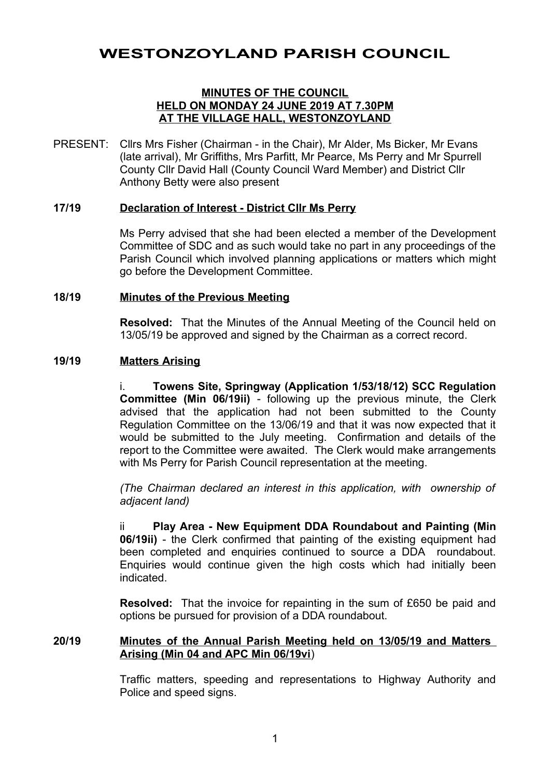# **WESTONZOYLAND PARISH COUNCIL**

### **MINUTES OF THE COUNCIL HELD ON MONDAY 24 JUNE 2019 AT 7.30PM AT THE VILLAGE HALL, WESTONZOYLAND**

PRESENT: Cllrs Mrs Fisher (Chairman - in the Chair), Mr Alder, Ms Bicker, Mr Evans (late arrival), Mr Griffiths, Mrs Parfitt, Mr Pearce, Ms Perry and Mr Spurrell County Cllr David Hall (County Council Ward Member) and District Cllr Anthony Betty were also present

## **17/19 Declaration of Interest - District Cllr Ms Perry**

Ms Perry advised that she had been elected a member of the Development Committee of SDC and as such would take no part in any proceedings of the Parish Council which involved planning applications or matters which might go before the Development Committee.

#### **18/19 Minutes of the Previous Meeting**

**Resolved:** That the Minutes of the Annual Meeting of the Council held on 13/05/19 be approved and signed by the Chairman as a correct record.

#### **19/19 Matters Arising**

i. **Towens Site, Springway (Application 1/53/18/12) SCC Regulation Committee (Min 06/19ii)** - following up the previous minute, the Clerk advised that the application had not been submitted to the County Regulation Committee on the 13/06/19 and that it was now expected that it would be submitted to the July meeting. Confirmation and details of the report to the Committee were awaited. The Clerk would make arrangements with Ms Perry for Parish Council representation at the meeting.

*(The Chairman declared an interest in this application, with ownership of adjacent land)*

ii **Play Area - New Equipment DDA Roundabout and Painting (Min 06/19ii)** - the Clerk confirmed that painting of the existing equipment had been completed and enquiries continued to source a DDA roundabout. Enquiries would continue given the high costs which had initially been indicated.

**Resolved:** That the invoice for repainting in the sum of £650 be paid and options be pursued for provision of a DDA roundabout.

## **20/19 Minutes of the Annual Parish Meeting held on 13/05/19 and Matters Arising (Min 04 and APC Min 06/19vi**)

Traffic matters, speeding and representations to Highway Authority and Police and speed signs.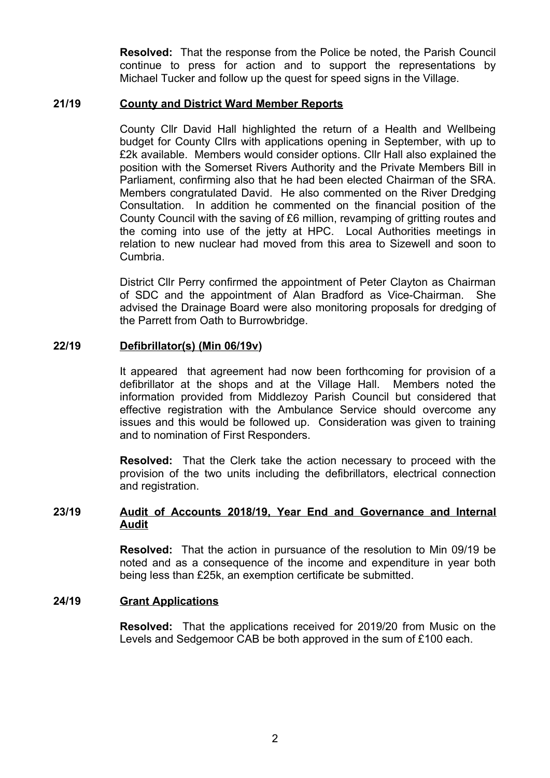**Resolved:** That the response from the Police be noted, the Parish Council continue to press for action and to support the representations by Michael Tucker and follow up the quest for speed signs in the Village.

#### **21/19 County and District Ward Member Reports**

County Cllr David Hall highlighted the return of a Health and Wellbeing budget for County Cllrs with applications opening in September, with up to £2k available. Members would consider options. Cllr Hall also explained the position with the Somerset Rivers Authority and the Private Members Bill in Parliament, confirming also that he had been elected Chairman of the SRA. Members congratulated David. He also commented on the River Dredging Consultation. In addition he commented on the financial position of the County Council with the saving of £6 million, revamping of gritting routes and the coming into use of the jetty at HPC. Local Authorities meetings in relation to new nuclear had moved from this area to Sizewell and soon to Cumbria.

District Cllr Perry confirmed the appointment of Peter Clayton as Chairman of SDC and the appointment of Alan Bradford as Vice-Chairman. She advised the Drainage Board were also monitoring proposals for dredging of the Parrett from Oath to Burrowbridge.

#### **22/19 Defibrillator(s) (Min 06/19v)**

It appeared that agreement had now been forthcoming for provision of a defibrillator at the shops and at the Village Hall. Members noted the information provided from Middlezoy Parish Council but considered that effective registration with the Ambulance Service should overcome any issues and this would be followed up. Consideration was given to training and to nomination of First Responders.

**Resolved:** That the Clerk take the action necessary to proceed with the provision of the two units including the defibrillators, electrical connection and registration.

## **23/19 Audit of Accounts 2018/19, Year End and Governance and Internal Audit**

**Resolved:** That the action in pursuance of the resolution to Min 09/19 be noted and as a consequence of the income and expenditure in year both being less than £25k, an exemption certificate be submitted.

## **24/19 Grant Applications**

**Resolved:** That the applications received for 2019/20 from Music on the Levels and Sedgemoor CAB be both approved in the sum of £100 each.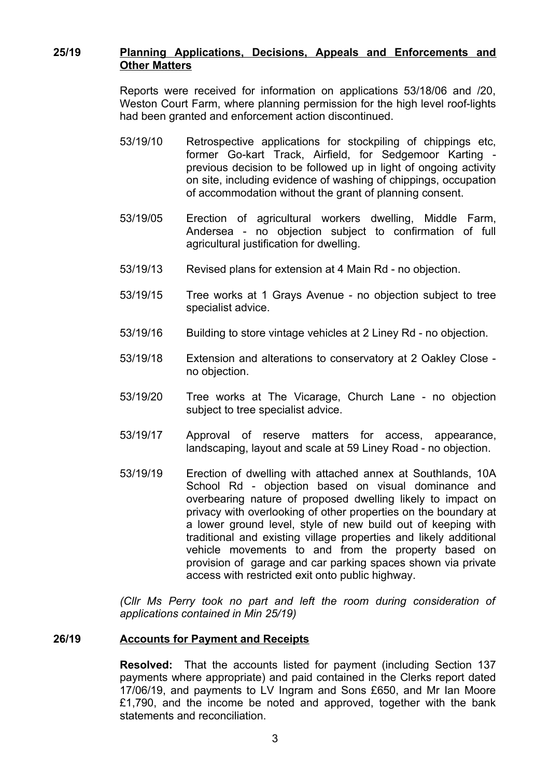### **25/19 Planning Applications, Decisions, Appeals and Enforcements and Other Matters**

Reports were received for information on applications 53/18/06 and /20, Weston Court Farm, where planning permission for the high level roof-lights had been granted and enforcement action discontinued.

- 53/19/10 Retrospective applications for stockpiling of chippings etc, former Go-kart Track, Airfield, for Sedgemoor Karting previous decision to be followed up in light of ongoing activity on site, including evidence of washing of chippings, occupation of accommodation without the grant of planning consent.
- 53/19/05 Erection of agricultural workers dwelling, Middle Farm, Andersea - no objection subject to confirmation of full agricultural justification for dwelling.
- 53/19/13 Revised plans for extension at 4 Main Rd no objection.
- 53/19/15 Tree works at 1 Grays Avenue no objection subject to tree specialist advice.
- 53/19/16 Building to store vintage vehicles at 2 Liney Rd no objection.
- 53/19/18 Extension and alterations to conservatory at 2 Oakley Close no objection.
- 53/19/20 Tree works at The Vicarage, Church Lane no objection subject to tree specialist advice.
- 53/19/17 Approval of reserve matters for access, appearance, landscaping, layout and scale at 59 Liney Road - no objection.
- 53/19/19 Erection of dwelling with attached annex at Southlands, 10A School Rd - objection based on visual dominance and overbearing nature of proposed dwelling likely to impact on privacy with overlooking of other properties on the boundary at a lower ground level, style of new build out of keeping with traditional and existing village properties and likely additional vehicle movements to and from the property based on provision of garage and car parking spaces shown via private access with restricted exit onto public highway.

*(Cllr Ms Perry took no part and left the room during consideration of applications contained in Min 25/19)*

## **26/19 Accounts for Payment and Receipts**

**Resolved:** That the accounts listed for payment (including Section 137 payments where appropriate) and paid contained in the Clerks report dated 17/06/19, and payments to LV Ingram and Sons £650, and Mr Ian Moore £1,790, and the income be noted and approved, together with the bank statements and reconciliation.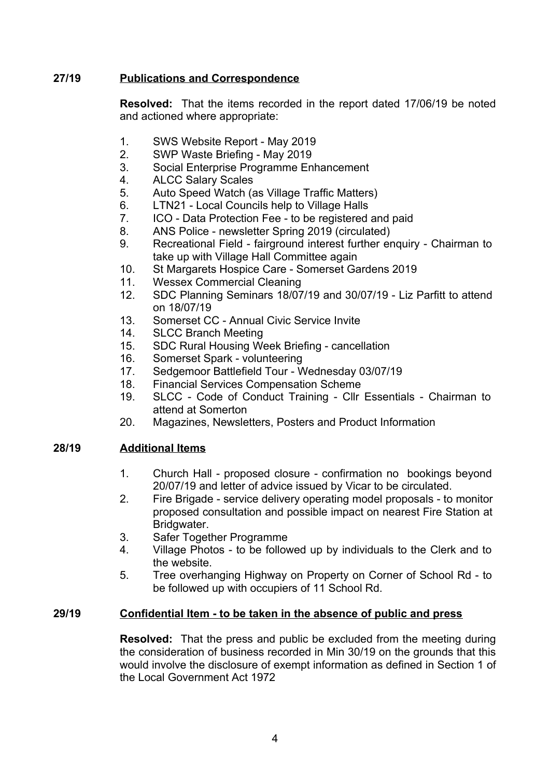## **27/19 Publications and Correspondence**

**Resolved:** That the items recorded in the report dated 17/06/19 be noted and actioned where appropriate:

- 1. SWS Website Report May 2019
- 2. SWP Waste Briefing May 2019
- 3. Social Enterprise Programme Enhancement
- 4. ALCC Salary Scales
- 5. Auto Speed Watch (as Village Traffic Matters)
- 6. LTN21 Local Councils help to Village Halls
- 7. ICO Data Protection Fee to be registered and paid
- 8. ANS Police newsletter Spring 2019 (circulated)
- 9. Recreational Field fairground interest further enquiry Chairman to take up with Village Hall Committee again
- 10. St Margarets Hospice Care Somerset Gardens 2019
- 11. Wessex Commercial Cleaning
- 12. SDC Planning Seminars 18/07/19 and 30/07/19 Liz Parfitt to attend on 18/07/19
- 13. Somerset CC Annual Civic Service Invite
- 14. SLCC Branch Meeting
- 15. SDC Rural Housing Week Briefing cancellation
- 16. Somerset Spark volunteering
- 17. Sedgemoor Battlefield Tour Wednesday 03/07/19
- 18. Financial Services Compensation Scheme
- 19. SLCC Code of Conduct Training Cllr Essentials Chairman to attend at Somerton
- 20. Magazines, Newsletters, Posters and Product Information

# **28/19 Additional Items**

- 1. Church Hall proposed closure confirmation no bookings beyond 20/07/19 and letter of advice issued by Vicar to be circulated.
- 2. Fire Brigade service delivery operating model proposals to monitor proposed consultation and possible impact on nearest Fire Station at Bridgwater.
- 3. Safer Together Programme
- 4. Village Photos to be followed up by individuals to the Clerk and to the website.
- 5. Tree overhanging Highway on Property on Corner of School Rd to be followed up with occupiers of 11 School Rd.

# **29/19 Confidential Item - to be taken in the absence of public and press**

**Resolved:** That the press and public be excluded from the meeting during the consideration of business recorded in Min 30/19 on the grounds that this would involve the disclosure of exempt information as defined in Section 1 of the Local Government Act 1972